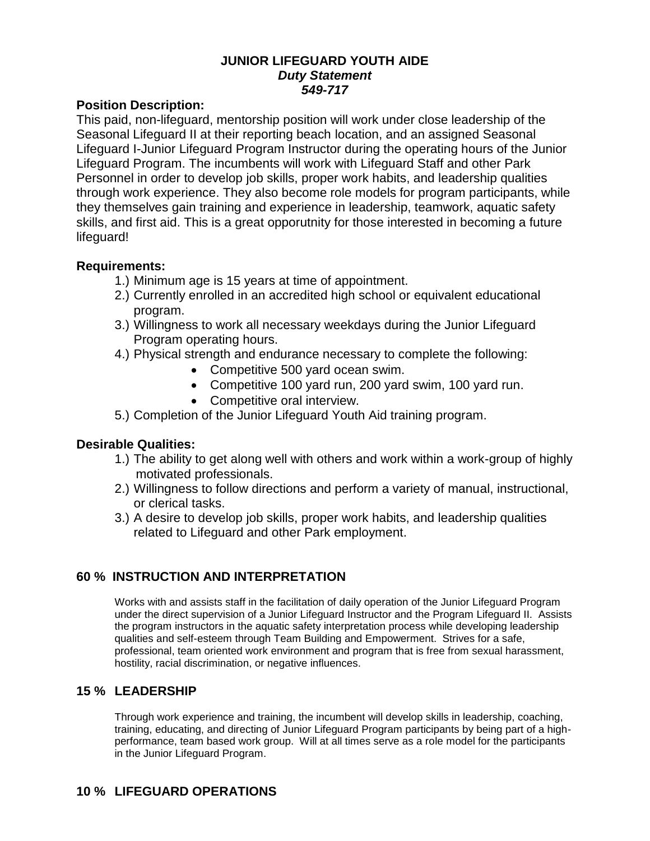### **JUNIOR LIFEGUARD YOUTH AIDE** *Duty Statement 549-717*

#### **Position Description:**

This paid, non-lifeguard, mentorship position will work under close leadership of the Seasonal Lifeguard II at their reporting beach location, and an assigned Seasonal Lifeguard I-Junior Lifeguard Program Instructor during the operating hours of the Junior Lifeguard Program. The incumbents will work with Lifeguard Staff and other Park Personnel in order to develop job skills, proper work habits, and leadership qualities through work experience. They also become role models for program participants, while they themselves gain training and experience in leadership, teamwork, aquatic safety skills, and first aid. This is a great opporutnity for those interested in becoming a future lifeguard!

#### **Requirements:**

- 1.) Minimum age is 15 years at time of appointment.
- 2.) Currently enrolled in an accredited high school or equivalent educational program.
- 3.) Willingness to work all necessary weekdays during the Junior Lifeguard Program operating hours.
- 4.) Physical strength and endurance necessary to complete the following:
	- Competitive 500 yard ocean swim.
	- Competitive 100 yard run, 200 yard swim, 100 yard run.
		- Competitive oral interview.
- 5.) Completion of the Junior Lifeguard Youth Aid training program.

# **Desirable Qualities:**

- 1.) The ability to get along well with others and work within a work-group of highly motivated professionals.
- 2.) Willingness to follow directions and perform a variety of manual, instructional, or clerical tasks.
- 3.) A desire to develop job skills, proper work habits, and leadership qualities related to Lifeguard and other Park employment.

# **60 % INSTRUCTION AND INTERPRETATION**

Works with and assists staff in the facilitation of daily operation of the Junior Lifeguard Program under the direct supervision of a Junior Lifeguard Instructor and the Program Lifeguard II. Assists the program instructors in the aquatic safety interpretation process while developing leadership qualities and self-esteem through Team Building and Empowerment. Strives for a safe, professional, team oriented work environment and program that is free from sexual harassment, hostility, racial discrimination, or negative influences.

# **15 % LEADERSHIP**

Through work experience and training, the incumbent will develop skills in leadership, coaching, training, educating, and directing of Junior Lifeguard Program participants by being part of a highperformance, team based work group. Will at all times serve as a role model for the participants in the Junior Lifeguard Program.

# **10 % LIFEGUARD OPERATIONS**